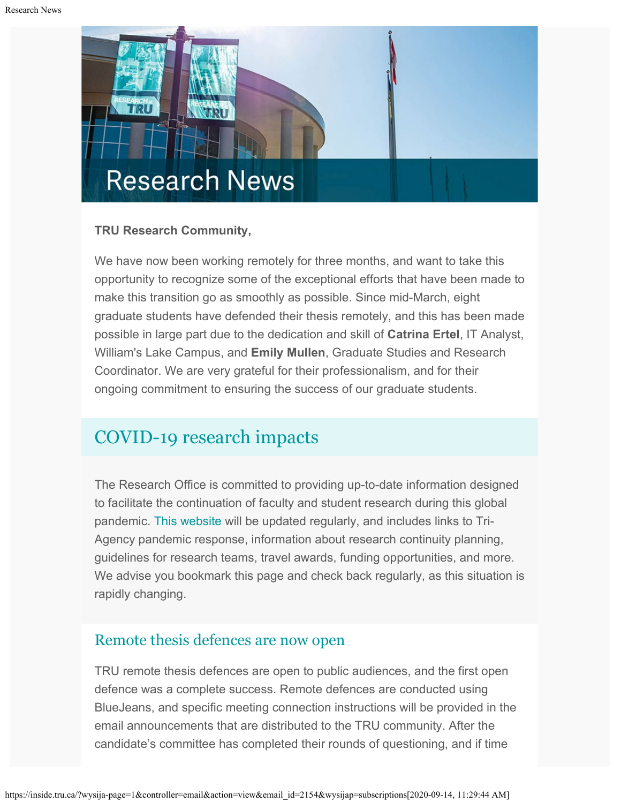

### **TRU Research Community,**

We have now been working remotely for three months, and want to take this opportunity to recognize some of the exceptional efforts that have been made to make this transition go as smoothly as possible. Since mid-March, eight graduate students have defended their thesis remotely, and this has been made possible in large part due to the dedication and skill of **Catrina Ertel**, IT Analyst, William's Lake Campus, and **Emily Mullen**, Graduate Studies and Research Coordinator. We are very grateful for their professionalism, and for their ongoing commitment to ensuring the success of our graduate students.

# [COVID-19 research impacts](https://www.tru.ca/research/covid-19-research-impacts.html)

The Research Office is committed to providing up-to-date information designed to facilitate the continuation of faculty and student research during this global pandemic. [This website](https://www.tru.ca/research/covid-19-research-impacts.html) will be updated regularly, and includes links to Tri-Agency pandemic response, information about research continuity planning, guidelines for research teams, travel awards, funding opportunities, and more. We advise you bookmark this page and check back regularly, as this situation is rapidly changing.

### [Remote thesis defences are now open](https://www.tru.ca/research/graduate-studies/remote-thesis-defence-procedures.html)

TRU remote thesis defences are open to public audiences, and the first open defence was a complete success. Remote defences are conducted using BlueJeans, and specific meeting connection instructions will be provided in the email announcements that are distributed to the TRU community. After the candidate's committee has completed their rounds of questioning, and if time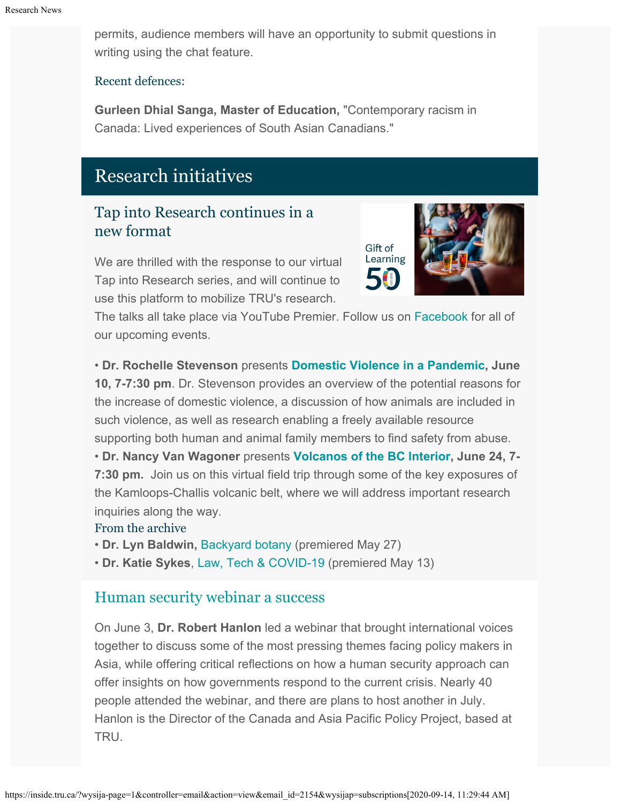permits, audience members will have an opportunity to submit questions in writing using the chat feature.

#### Recent defences:

**Gurleen Dhial Sanga, Master of Education,** "Contemporary racism in Canada: Lived experiences of South Asian Canadians."

# Research initiatives

## Tap into Research continues in a new format

We are thrilled with the response to our virtual Tap into Research series, and will continue to use this platform to mobilize TRU's research.



The talks all take place via YouTube Premier. Follow us on [Facebook](https://www.facebook.com/TRUResearch/) for all of our upcoming events.

• **Dr. Rochelle Stevenson** presents **[Domestic Violence in a Pandemic,](https://www.facebook.com/events/356136388695369/) June 10, 7-7:30 pm**. Dr. Stevenson provides an overview of the potential reasons for the increase of domestic violence, a discussion of how animals are included in such violence, as well as research enabling a freely available resource supporting both human and animal family members to find safety from abuse. • **Dr. Nancy Van Wagoner** presents **[Volcanos of the BC Interior](https://www.facebook.com/events/3038788676347525/), June 24, 7-**

**7:30 pm.** Join us on this virtual field trip through some of the key exposures of the Kamloops-Challis volcanic belt, where we will address important research inquiries along the way.

#### From the archive

- **Dr. Lyn Baldwin,** [Backyard botany](https://youtu.be/0cj0ZsXPTts) (premiered May 27)
- **Dr. Katie Sykes**, [Law, Tech & COVID-19](https://youtu.be/x2OAn8PlXz0) (premiered May 13)

### [Human security webinar a success](https://www.facebook.com/events/803011780223379/)

On June 3, **Dr. Robert Hanlon** led a webinar that brought international voices together to discuss some of the most pressing themes facing policy makers in Asia, while offering critical reflections on how a human security approach can offer insights on how governments respond to the current crisis. Nearly 40 people attended the webinar, and there are plans to host another in July. Hanlon is the Director of the Canada and Asia Pacific Policy Project, based at TRU.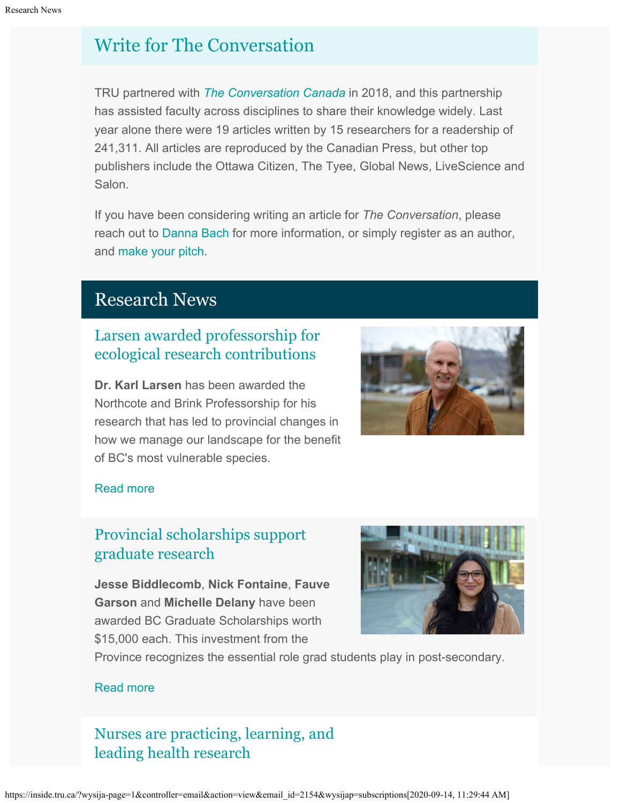# [Write for The Conversation](https://theconversation.com/ca)

TRU partnered with *[The Conversation Canada](http://inside.tru.ca/?email_id=2154&user_id=45&urlpassed=aHR0cHM6Ly90aGVjb252ZXJzYXRpb24uY29tL2Nh&controller=stats&action=analyse&wysija-page=1&wysijap=subscriptions)* in 2018, and this partnership has assisted faculty across disciplines to share their knowledge widely. Last year alone there were 19 articles written by 15 researchers for a readership of 241,311. All articles are reproduced by the Canadian Press, but other top publishers include the Ottawa Citizen, The Tyee, Global News, LiveScience and Salon.

If you have been considering writing an article for *The Conversation*, please reach out to [Danna Bach](mailto:dbach@tru.ca) for more information, or simply register as an author, and [make your pitch](http://inside.tru.ca/?email_id=2154&user_id=45&urlpassed=aHR0cHM6Ly90aGVjb252ZXJzYXRpb24uY29tL2NhL3BpdGNoZXM&controller=stats&action=analyse&wysija-page=1&wysijap=subscriptions).

# Research News

## [Larsen awarded professorship for](http://inside.tru.ca/2020/05/28/larsen-awarded-professorship-for-ecological-research-contributions/) [ecological research contributions](http://inside.tru.ca/2020/05/28/larsen-awarded-professorship-for-ecological-research-contributions/)

**Dr. Karl Larsen** has been awarded the Northcote and Brink Professorship for his research that has led to provincial changes in how we manage our landscape for the benefit of BC's most vulnerable species.



### [Read more](http://inside.tru.ca/2020/05/28/larsen-awarded-professorship-for-ecological-research-contributions/)

## [Provincial scholarships support](http://inside.tru.ca/2020/06/09/provincial-scholarships-support-graduate-research/) [graduate research](http://inside.tru.ca/2020/06/09/provincial-scholarships-support-graduate-research/)

**Jesse Biddlecomb**, **Nick Fontaine**, **Fauve Garson** and **Michelle Delany** have been awarded BC Graduate Scholarships worth \$15,000 each. This investment from the



Province recognizes the essential role grad students play in post-secondary.

### [Read more](http://inside.tru.ca/2020/06/09/provincial-scholarships-support-graduate-research/)

[Nurses are practicing, learning, and](http://inside.tru.ca/2020/05/14/nurses-are-practicing-learning-and-leading-health-research/) [leading health research](http://inside.tru.ca/2020/05/14/nurses-are-practicing-learning-and-leading-health-research/)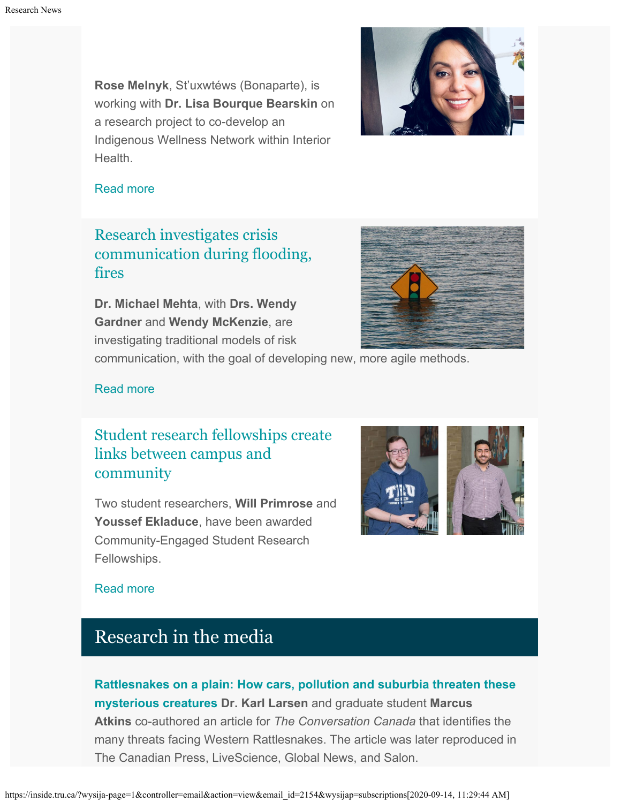**Rose Melnyk**, St'uxwtéws (Bonaparte), is working with **Dr. Lisa Bourque Bearskin** on a research project to co-develop an Indigenous Wellness Network within Interior **Health** 



#### [Read more](http://inside.tru.ca/2020/05/14/nurses-are-practicing-learning-and-leading-health-research/)

## [Research investigates crisis](http://inside.tru.ca/2020/05/13/research-investigates-crisis-communication-during-flood-fires/) [communication during flooding,](http://inside.tru.ca/2020/05/13/research-investigates-crisis-communication-during-flood-fires/) [fires](http://inside.tru.ca/2020/05/13/research-investigates-crisis-communication-during-flood-fires/)

**Dr. Michael Mehta**, with **Drs. Wendy Gardner** and **Wendy McKenzie**, are investigating traditional models of risk



communication, with the goal of developing new, more agile methods.

### [Read more](http://inside.tru.ca/2020/05/13/research-investigates-crisis-communication-during-flood-fires/)

## [Student research fellowships create](http://inside.tru.ca/2020/05/12/student-research-fellowships-create-links-between-campus-and-community/) [links between campus and](http://inside.tru.ca/2020/05/12/student-research-fellowships-create-links-between-campus-and-community/) [community](http://inside.tru.ca/2020/05/12/student-research-fellowships-create-links-between-campus-and-community/)

Two student researchers, **Will Primrose** and **Youssef Ekladuce**, have been awarded Community-Engaged Student Research Fellowships.



### [Read more](http://inside.tru.ca/2020/05/12/student-research-fellowships-create-links-between-campus-and-community/)

## Research in the media

**[Rattlesnakes on a plain: How cars, pollution and suburbia threaten these](https://theconversation.com/rattlesnakes-on-a-plain-how-cars-pollution-and-suburbia-threaten-these-mysterious-creatures-137071) [mysterious creatures](https://theconversation.com/rattlesnakes-on-a-plain-how-cars-pollution-and-suburbia-threaten-these-mysterious-creatures-137071) Dr. Karl Larsen** and graduate student **Marcus Atkins** co-authored an article for *The Conversation Canada* that identifies the many threats facing Western Rattlesnakes. The article was later reproduced in The Canadian Press, LiveScience, Global News, and Salon.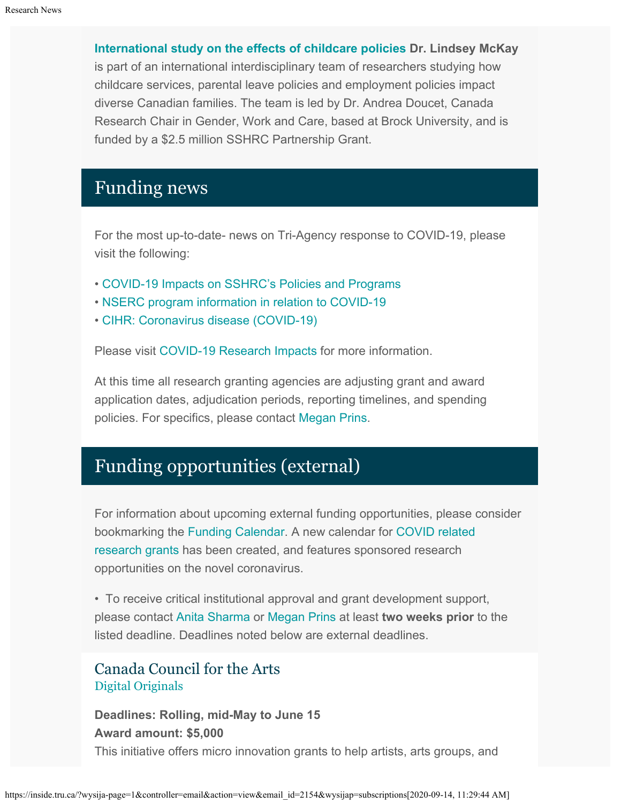**[International study on the effects of childcare policies](https://www.thoroldnews.com/coronavirus-covid-19-local-news/brock-to-head-international-study-effects-of-childcare-policies-2375028) Dr. Lindsey McKay** is part of an international interdisciplinary team of researchers studying how childcare services, parental leave policies and employment policies impact diverse Canadian families. The team is led by Dr. Andrea Doucet, Canada Research Chair in Gender, Work and Care, based at Brock University, and is funded by a \$2.5 million SSHRC Partnership Grant.

# Funding news

For the most up-to-date- news on Tri-Agency response to COVID-19, please visit the following:

- [COVID-19 Impacts on SSHRC's Policies and Programs](https://www.sshrc-crsh.gc.ca/news_room-salle_de_presse/covid-19-eng.aspx)
- [NSERC program information in relation to COVID-19](https://www.nserc-crsng.gc.ca/Media-Media/NewsRelease-CommuniqueDePresse_eng.asp?ID=1139)
- [CIHR: Coronavirus disease \(COVID-19\)](https://cihr-irsc.gc.ca/e/51917.html)

Please visit [COVID-19 Research Impacts](https://www.tru.ca/research/covid-19-research-impacts.html) for more information.

At this time all research granting agencies are adjusting grant and award application dates, adjudication periods, reporting timelines, and spending policies. For specifics, please contact [Megan Prins](mailto:mprins@tru.ca).

# Funding opportunities (external)

For information about upcoming external funding opportunities, please consider bookmarking the [Funding Calendar](https://www.tru.ca/research/research-services/research-services-faculty/faculty-research-funding/funding-deadlines.html). A new calendar for [COVID related](https://www.tru.ca/research/research-services/research-services-faculty/faculty-research-funding/funding-deadlines.html) [research grants](https://www.tru.ca/research/research-services/research-services-faculty/faculty-research-funding/funding-deadlines.html) has been created, and features sponsored research opportunities on the novel coronavirus.

• To receive critical institutional approval and grant development support, please contact [Anita Sharma](mailto:ansharma@tru.ca) or [Megan Prins](mailto:mprins@tru.ca) at least **two weeks prior** to the listed deadline. Deadlines noted below are external deadlines.

### Canada Council for the Arts [Digital Originals](https://canadacouncil.ca/initiatives/digital-originals)

**Deadlines: Rolling, mid-May to June 15 Award amount: \$5,000** This initiative offers micro innovation grants to help artists, arts groups, and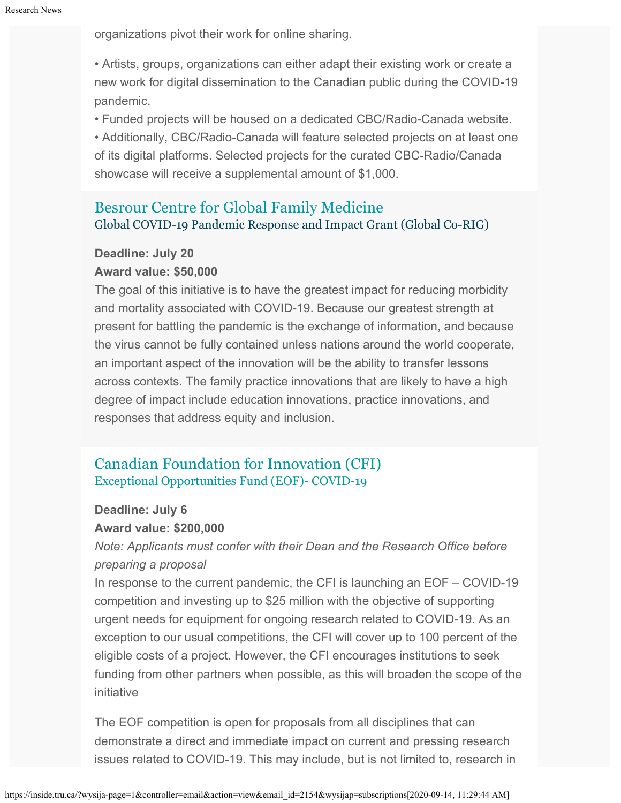organizations pivot their work for online sharing.

• Artists, groups, organizations can either adapt their existing work or create a new work for digital dissemination to the Canadian public during the COVID-19 pandemic.

• Funded projects will be housed on a dedicated CBC/Radio-Canada website.

• Additionally, CBC/Radio-Canada will feature selected projects on at least one of its digital platforms. Selected projects for the curated CBC-Radio/Canada showcase will receive a supplemental amount of \$1,000.

## [Besrour Centre for Global Family Medicine](https://portal.cfpc.ca/ResourcesDocs/uploadedFiles/About_Us/Sadok_Besrour_Centre_for_Innovation_in_Global_Health/Besrour-Center-for-Global-Family-Medicine-Global-CO-RIG-RFP-Final-ENG.pdf) Global COVID-19 Pandemic Response and Impact Grant (Global Co-RIG)

### **Deadline: July 20 Award value: \$50,000**

The goal of this initiative is to have the greatest impact for reducing morbidity and mortality associated with COVID-19. Because our greatest strength at present for battling the pandemic is the exchange of information, and because the virus cannot be fully contained unless nations around the world cooperate, an important aspect of the innovation will be the ability to transfer lessons across contexts. The family practice innovations that are likely to have a high degree of impact include education innovations, practice innovations, and responses that address equity and inclusion.

### [Canadian Foundation for Innovation \(CFI\)](https://www.innovation.ca/awards/exceptional-opportunities-fund-covid-19?_cldee=bXByaW5zQHRydS5jYQ%3d%3d&recipientid=contact-4226ea72204ce811a95a000d3af468fb-2e89bed068b94b91ae02a3d2df0690bf&esid=4e02c501-94a9-ea11-a812-000d3af43595) [Exceptional Opportunities Fund \(EOF\)- COVID-19](https://www.innovation.ca/awards/exceptional-opportunities-fund-covid-19?_cldee=bXByaW5zQHRydS5jYQ%3d%3d&recipientid=contact-4226ea72204ce811a95a000d3af468fb-2e89bed068b94b91ae02a3d2df0690bf&esid=4e02c501-94a9-ea11-a812-000d3af43595)

### **Deadline: July 6**

### **Award value: \$200,000**

*Note: Applicants must confer with their Dean and the Research Office before preparing a proposal*

In response to the current pandemic, the CFI is launching an EOF – COVID-19 competition and investing up to \$25 million with the objective of supporting urgent needs for equipment for ongoing research related to COVID-19. As an exception to our usual competitions, the CFI will cover up to 100 percent of the eligible costs of a project. However, the CFI encourages institutions to seek funding from other partners when possible, as this will broaden the scope of the initiative

The EOF competition is open for proposals from all disciplines that can demonstrate a direct and immediate impact on current and pressing research issues related to COVID-19. This may include, but is not limited to, research in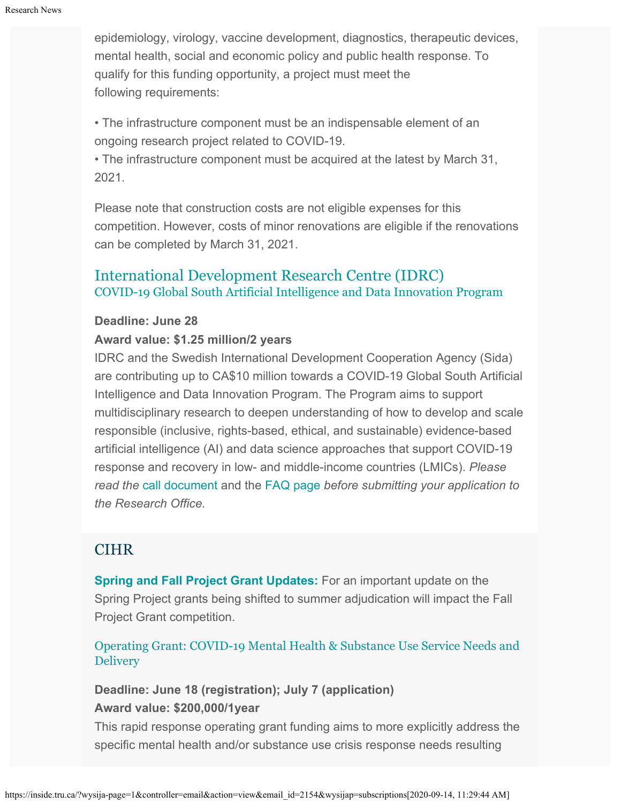epidemiology, virology, vaccine development, diagnostics, therapeutic devices, mental health, social and economic policy and public health response. To qualify for this funding opportunity, a project must meet the following requirements:

• The infrastructure component must be an indispensable element of an ongoing research project related to COVID-19.

• The infrastructure component must be acquired at the latest by March 31, 2021.

Please note that construction costs are not eligible expenses for this competition. However, costs of minor renovations are eligible if the renovations can be completed by March 31, 2021.

### [International Development Research Centre \(IDRC\)](https://www.idrc.ca/en/funding/covid-19-global-south-artificial-intelligence-and-data-innovation-program) [COVID-19 Global South Artificial Intelligence and Data Innovation Program](https://www.idrc.ca/en/funding/covid-19-global-south-artificial-intelligence-and-data-innovation-program)

#### **Deadline: June 28**

### **Award value: \$1.25 million/2 years**

IDRC and the Swedish International Development Cooperation Agency (Sida) are contributing up to CA\$10 million towards a COVID-19 Global South Artificial Intelligence and Data Innovation Program. The Program aims to support multidisciplinary research to deepen understanding of how to develop and scale responsible (inclusive, rights-based, ethical, and sustainable) evidence-based artificial intelligence (AI) and data science approaches that support COVID-19 response and recovery in low- and middle-income countries (LMICs). *Please read the* [call document](https://idrc-crdi.smapply.io/protected/resource/eyJoZnJlIjogMTA4NTk4NDQ0LCAidnEiOiAxNDE3NjZ9/%22%20%5Ct%20%22_blank) and the [FAQ page](https://www.idrc.ca/en/faqs-global-south-data-and-ai-innovation-program) *before submitting your application to the Research Office.*

### **CIHR**

**[Spring and Fall Project Grant Updates:](https://cihr-irsc.gc.ca/e/51996.html)** For an important update on the Spring Project grants being shifted to summer adjudication will impact the Fall Project Grant competition.

[Operating Grant: COVID-19 Mental Health & Substance Use Service Needs and](https://www.researchnet-recherchenet.ca/rnr16/vwOpprtntyDtls.do?all=1&masterList=true&next=1&prog=3340&resultCount=25&sort=program&type=EXACT&view=currentOpps&language=E) **[Delivery](https://www.researchnet-recherchenet.ca/rnr16/vwOpprtntyDtls.do?all=1&masterList=true&next=1&prog=3340&resultCount=25&sort=program&type=EXACT&view=currentOpps&language=E)** 

**Deadline: June 18 (registration); July 7 (application) Award value: \$200,000/1year**

This rapid response operating grant funding aims to more explicitly address the specific mental health and/or substance use crisis response needs resulting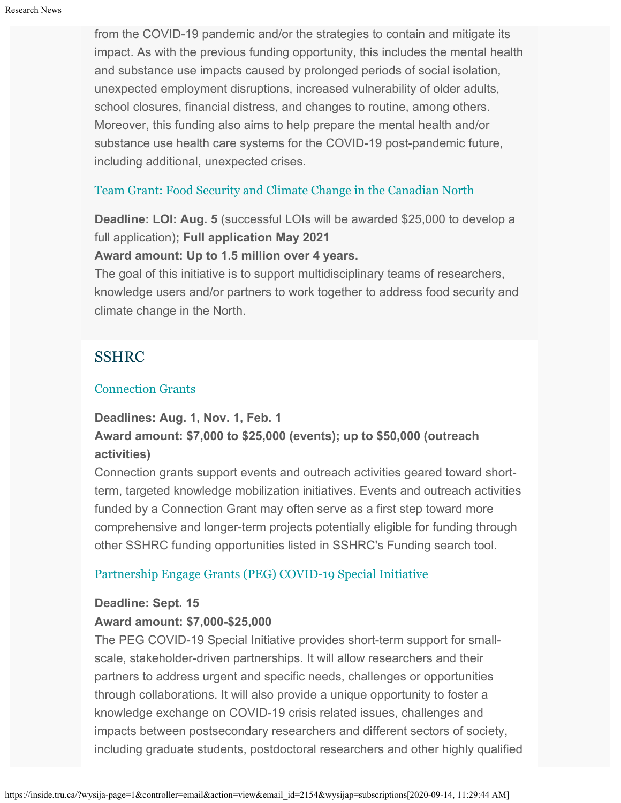from the COVID-19 pandemic and/or the strategies to contain and mitigate its impact. As with the previous funding opportunity, this includes the mental health and substance use impacts caused by prolonged periods of social isolation, unexpected employment disruptions, increased vulnerability of older adults, school closures, financial distress, and changes to routine, among others. Moreover, this funding also aims to help prepare the mental health and/or substance use health care systems for the COVID-19 post-pandemic future, including additional, unexpected crises.

### [Team Grant: Food Security and Climate Change in the Canadian North](https://www.researchnet-recherchenet.ca/rnr16/vwOpprtntyDtls.do?prog=3269&view=search&launchMonth=2&launchYear=2020&type=EXACT&resultCount=25&next=1)

**Deadline: LOI: Aug. 5** (successful LOIs will be awarded \$25,000 to develop a full application)**; Full application May 2021**

### **Award amount: Up to 1.5 million over 4 years.**

The goal of this initiative is to support multidisciplinary teams of researchers, knowledge users and/or partners to work together to address food security and climate change in the North.

### SSHRC

### [Connection Grants](http://www.sshrc-crsh.gc.ca/funding-financement/programs-programmes/connection_grants-subventions_connexion-eng.aspx)

### **Deadlines: Aug. 1, Nov. 1, Feb. 1**

### **Award amount: \$7,000 to \$25,000 (events); up to \$50,000 (outreach activities)**

Connection grants support events and outreach activities geared toward shortterm, targeted knowledge mobilization initiatives. Events and outreach activities funded by a Connection Grant may often serve as a first step toward more comprehensive and longer-term projects potentially eligible for funding through other SSHRC funding opportunities listed in SSHRC's Funding search tool.

### [Partnership Engage Grants \(PEG\) COVID-19 Special Initiative](https://www.sshrc-crsh.gc.ca/funding-financement/programs-programmes/peg-sep-covid-19-eng.aspx)

### **Deadline: Sept. 15**

### **Award amount: \$7,000-\$25,000**

The PEG COVID-19 Special Initiative provides short-term support for smallscale, stakeholder-driven partnerships. It will allow researchers and their partners to address urgent and specific needs, challenges or opportunities through collaborations. It will also provide a unique opportunity to foster a knowledge exchange on COVID-19 crisis related issues, challenges and impacts between postsecondary researchers and different sectors of society, including graduate students, postdoctoral researchers and other highly qualified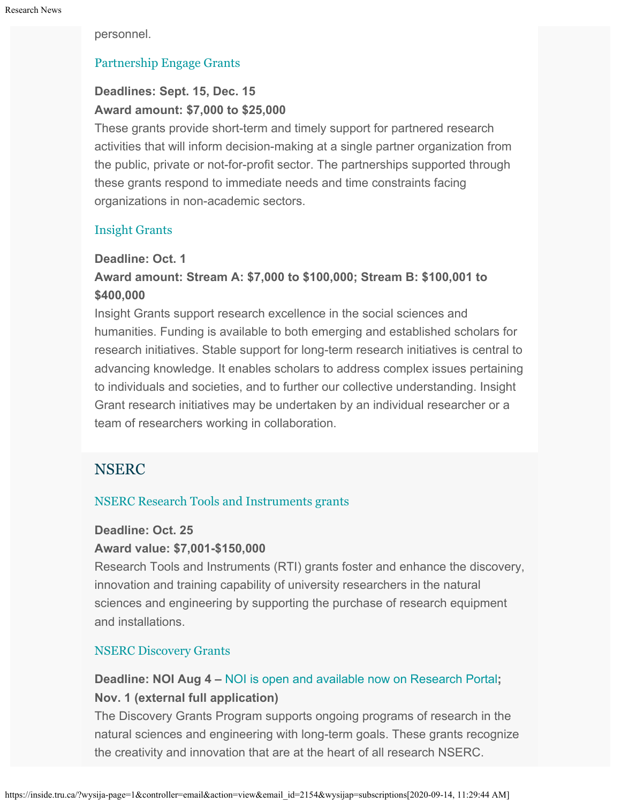personnel.

### [Partnership Engage Grants](http://www.sshrc-crsh.gc.ca/funding-financement/programs-programmes/partnership_engage_grants-subventions_d_engagement_partenarial-eng.aspx)

### **Deadlines: Sept. 15, Dec. 15 Award amount: \$7,000 to \$25,000**

These grants provide short-term and timely support for partnered research activities that will inform decision-making at a single partner organization from the public, private or not-for-profit sector. The partnerships supported through these grants respond to immediate needs and time constraints facing organizations in non-academic sectors.

### [Insight Grants](http://www.sshrc-crsh.gc.ca/funding-financement/programs-programmes/insight_grants-subventions_savoir-eng.aspx)

### **Deadline: Oct. 1**

### **Award amount: Stream A: \$7,000 to \$100,000; Stream B: \$100,001 to \$400,000**

Insight Grants support research excellence in the social sciences and humanities. Funding is available to both emerging and established scholars for research initiatives. Stable support for long-term research initiatives is central to advancing knowledge. It enables scholars to address complex issues pertaining to individuals and societies, and to further our collective understanding. Insight Grant research initiatives may be undertaken by an individual researcher or a team of researchers working in collaboration.

### **NSERC**

### [NSERC Research Tools and Instruments grants](http://www.nserc-crsng.gc.ca/Professors-Professeurs/RTII-OIRI/RTI-OIR_eng.asp)

### **Deadline: Oct. 25**

### **Award value: \$7,001-\$150,000**

Research Tools and Instruments (RTI) grants foster and enhance the discovery, innovation and training capability of university researchers in the natural sciences and engineering by supporting the purchase of research equipment and installations.

### [NSERC Discovery Grants](http://www.nserc-crsng.gc.ca/Professors-Professeurs/DGIC-CISD_eng.asp)

### **Deadline: NOI Aug 4 –** [NOI is open and available now on Research Portal](https://www.nserc-crsng.gc.ca/Professors-Professeurs/Grants-Subs/DGIGPNotice-PSIGPAvis_eng.asp)**; Nov. 1 (external full application)**

The Discovery Grants Program supports ongoing programs of research in the natural sciences and engineering with long-term goals. These grants recognize the creativity and innovation that are at the heart of all research NSERC[.](https://www.nserc-crsng.gc.ca/Innovate-Innover/COVID-19/index_eng.asp)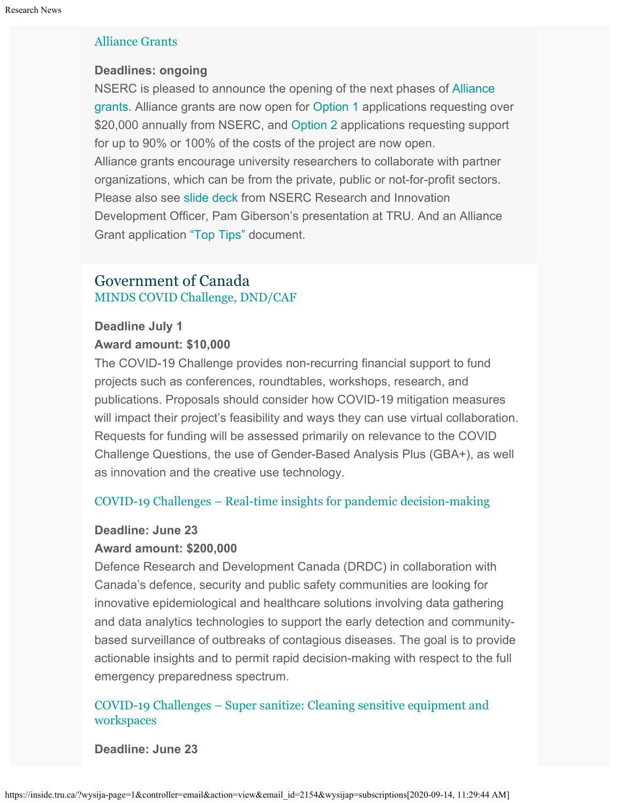### [Alliance Grants](https://www.nserc-crsng.gc.ca/Innovate-Innover/alliance-alliance/index_eng.asp)

### **Deadlines: ongoing**

NSERC is pleased to announce the opening of the next phases of [Alliance](https://www.nserc-crsng.gc.ca/Innovate-Innover/alliance-alliance/index_eng.asp) [grants](https://www.nserc-crsng.gc.ca/Innovate-Innover/alliance-alliance/index_eng.asp). Alliance grants are now open for [Option 1](https://www.nserc-crsng.gc.ca/Innovate-Innover/alliance-alliance/funding-financement_eng.asp#option1) applications requesting over \$20,000 annually from NSERC, and [Option 2](https://www.nserc-crsng.gc.ca/Innovate-Innover/alliance-alliance/index_eng.asp) applications requesting support for up to 90% or 100% of the costs of the project are now open. Alliance grants encourage university researchers to collaborate with partner organizations, which can be from the private, public or not-for-profit sectors. Please also see [slide deck](https://one.tru.ca/sites/rgs/ToolsandResources/_layouts/15/WopiFrame.aspx?sourcedoc=/sites/rgs/ToolsandResources/Shared%20Documents/NSERC_ALLIANCE.pptx&action=default) from NSERC Research and Innovation Development Officer, Pam Giberson's presentation at TRU. And an Alliance Grant application ["Top Tips"](https://one.tru.ca/sites/rgs/ToolsandResources/_layouts/15/WopiFrame.aspx?sourcedoc=/sites/rgs/ToolsandResources/Shared%20Documents/Alliance%20Grant%20-%20Top%20Tips%20EN%20%20FR.pdf&action=default) document.

### Government of Canada [MINDS COVID Challenge, DND/CAF](https://www.canada.ca/en/department-national-defence/programs/minds/covid-19-challenge.html)

## **Deadline July 1**

### **Award amount: \$10,000**

The COVID-19 Challenge provides non-recurring financial support to fund projects such as conferences, roundtables, workshops, research, and publications. Proposals should consider how COVID-19 mitigation measures will impact their project's feasibility and ways they can use virtual collaboration. Requests for funding will be assessed primarily on relevance to the COVID Challenge Questions, the use of Gender-Based Analysis Plus (GBA+), as well as innovation and the creative use technology.

### [COVID-19 Challenges – Real-time insights for pandemic decision-making](https://www.canada.ca/en/department-national-defence/programs/defence-ideas/understanding-ideas/sandbox/covid19-challenges.html)

### **Deadline: June 23**

### **Award amount: \$200,000**

Defence Research and Development Canada (DRDC) in collaboration with Canada's defence, security and public safety communities are looking for innovative epidemiological and healthcare solutions involving data gathering and data analytics technologies to support the early detection and communitybased surveillance of outbreaks of contagious diseases. The goal is to provide actionable insights and to permit rapid decision-making with respect to the full emergency preparedness spectrum.

### [COVID-19 Challenges – Super sanitize: Cleaning sensitive equipment and](https://www.canada.ca/en/department-national-defence/programs/defence-ideas/understanding-ideas/sandbox/covid19-challenges.html) [workspaces](https://www.canada.ca/en/department-national-defence/programs/defence-ideas/understanding-ideas/sandbox/covid19-challenges.html)

### **Deadline: June 23**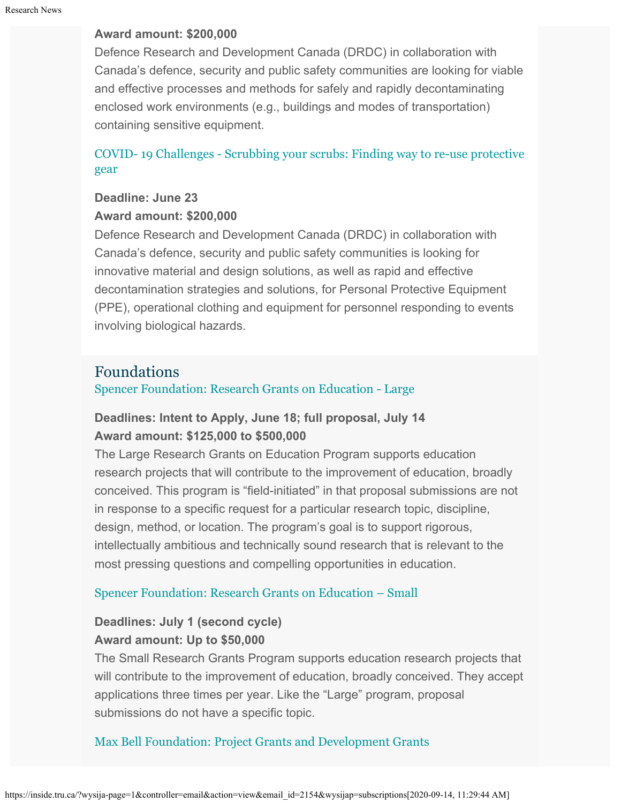### **Award amount: \$200,000**

Defence Research and Development Canada (DRDC) in collaboration with Canada's defence, security and public safety communities are looking for viable and effective processes and methods for safely and rapidly decontaminating enclosed work environments (e.g., buildings and modes of transportation) containing sensitive equipment.

### [COVID- 19 Challenges - Scrubbing your scrubs: Finding way to re-use protective](https://www.canada.ca/en/department-national-defence/programs/defence-ideas/understanding-ideas/sandbox/covid19-challenges.html) [gear](https://www.canada.ca/en/department-national-defence/programs/defence-ideas/understanding-ideas/sandbox/covid19-challenges.html)

### **Deadline: June 23**

#### **Award amount: \$200,000**

Defence Research and Development Canada (DRDC) in collaboration with Canada's defence, security and public safety communities is looking for innovative material and design solutions, as well as rapid and effective decontamination strategies and solutions, for Personal Protective Equipment (PPE), operational clothing and equipment for personnel responding to events involving biological hazards.

### Foundations

[Spencer Foundation: Research Grants on Education - Large](https://www.spencer.org/grant_types/large-research-grant)

### **Deadlines: Intent to Apply, June 18; full proposal, July 14 Award amount: \$125,000 to \$500,000**

The Large Research Grants on Education Program supports education research projects that will contribute to the improvement of education, broadly conceived. This program is "field-initiated" in that proposal submissions are not in response to a specific request for a particular research topic, discipline, design, method, or location. The program's goal is to support rigorous, intellectually ambitious and technically sound research that is relevant to the most pressing questions and compelling opportunities in education.

### [Spencer Foundation: Research Grants on Education – Small](https://www.spencer.org/grant_types/small-research-grant)

### **Deadlines: July 1 (second cycle) Award amount: Up to \$50,000**

The Small Research Grants Program supports education research projects that will contribute to the improvement of education, broadly conceived. They accept applications three times per year. Like the "Large" program, proposal submissions do not have a specific topic.

### [Max Bell Foundation: Project Grants and Development Grants](https://maxbell.org/our-work/granting/types-programs/)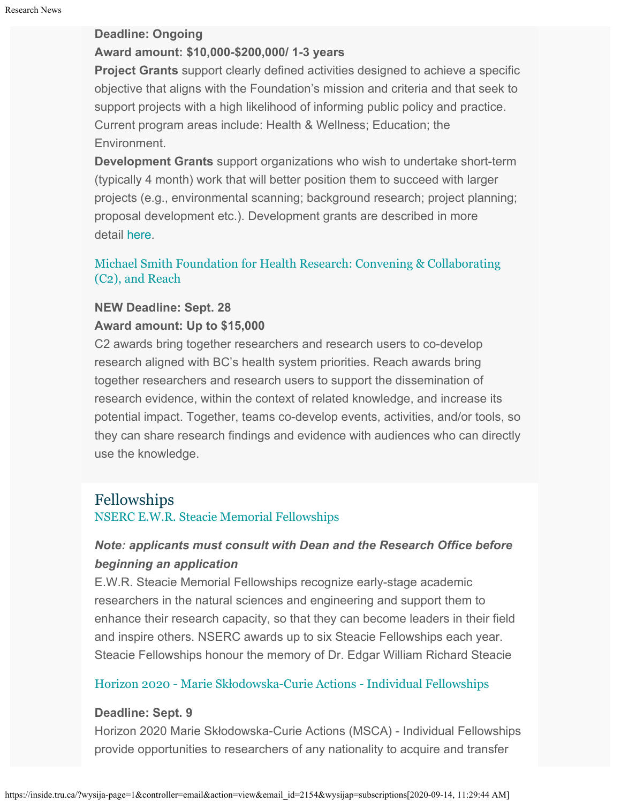### **Deadline: Ongoing**

### **Award amount: \$10,000-\$200,000/ 1-3 years**

**Project Grants** support clearly defined activities designed to achieve a specific objective that aligns with the Foundation's mission and criteria and that seek to support projects with a high likelihood of informing public policy and practice. Current program areas include: Health & Wellness; Education; the Environment.

**Development Grants** support organizations who wish to undertake short-term (typically 4 month) work that will better position them to succeed with larger projects (e.g., environmental scanning; background research; project planning; proposal development etc.). Development grants are described in more detail [here](https://maxbell.org/our-work/types-programs/).

### [Michael Smith Foundation for Health Research: Convening & Collaborating](https://www.msfhr.org/2020-convening-collaborating-competition) [\(C2\), and Reach](https://www.msfhr.org/2020-convening-collaborating-competition)

### **NEW Deadline: Sept. 28**

### **Award amount: Up to \$15,000**

C2 awards bring together researchers and research users to co-develop research aligned with BC's health system priorities. Reach awards bring together researchers and research users to support the dissemination of research evidence, within the context of related knowledge, and increase its potential impact. Together, teams co-develop events, activities, and/or tools, so they can share research findings and evidence with audiences who can directly use the knowledge.

### Fellowships [NSERC E.W.R. Steacie Memorial Fellowships](https://www.nserc-crsng.gc.ca/Prizes-Prix/Steacie-Steacie/Index-Index_eng.asp)

### *Note: applicants must consult with Dean and the Research Office before beginning an application*

E.W.R. Steacie Memorial Fellowships recognize early-stage academic researchers in the natural sciences and engineering and support them to enhance their research capacity, so that they can become leaders in their field and inspire others. NSERC awards up to six Steacie Fellowships each year. Steacie Fellowships honour the memory of Dr. Edgar William Richard Steacie

### [Horizon 2020 - Marie Sk](https://ec.europa.eu/info/funding-tenders/opportunities/portal/screen/opportunities/topic-details/msca-if-2020)[ł](https://ec.europa.eu/info/funding-tenders/opportunities/portal/screen/opportunities/topic-details/msca-if-2020)[odowska-Curie Actions - Individual Fellowships](https://ec.europa.eu/info/funding-tenders/opportunities/portal/screen/opportunities/topic-details/msca-if-2020)

### **Deadline: Sept. 9**

Horizon 2020 Marie Skłodowska-Curie Actions (MSCA) - Individual Fellowships provide opportunities to researchers of any nationality to acquire and transfer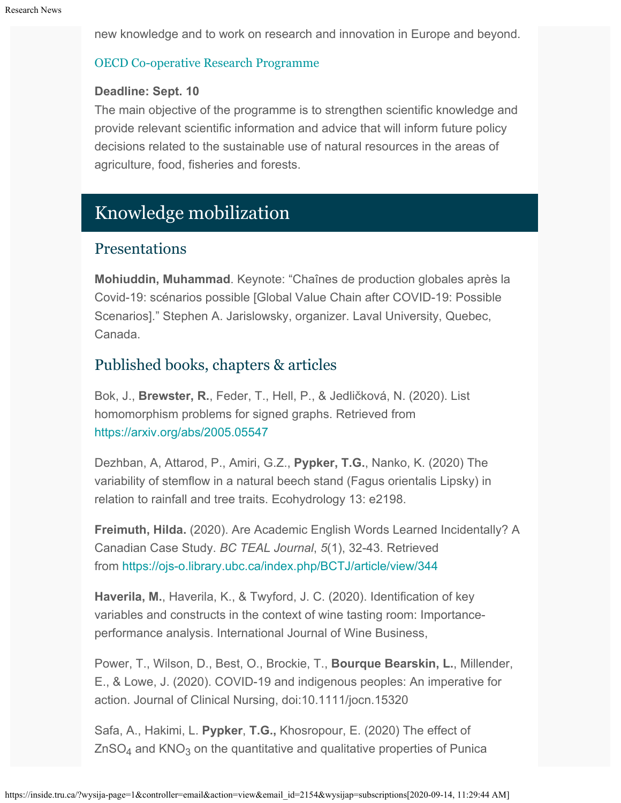new knowledge and to work on research and innovation in Europe and beyond.

### [OECD Co-operative Research Programme](http://www.oecd.org/agriculture/crp/applications/)

#### **Deadline: Sept. 10**

The main objective of the programme is to strengthen scientific knowledge and provide relevant scientific information and advice that will inform future policy decisions related to the sustainable use of natural resources in the areas of agriculture, food, fisheries and forests.

# Knowledge mobilization

### **Presentations**

**Mohiuddin, Muhammad**. Keynote: "Chaînes de production globales après la Covid-19: scénarios possible [Global Value Chain after COVID-19: Possible Scenarios]." Stephen A. Jarislowsky, organizer. Laval University, Quebec, Canada.

### Published books, chapters & articles

Bok, J., **Brewster, R.**, Feder, T., Hell, P., & Jedličková, N. (2020). List homomorphism problems for signed graphs. Retrieved from <https://arxiv.org/abs/2005.05547>

Dezhban, A, Attarod, P., Amiri, G.Z., **Pypker, T.G.**, Nanko, K. (2020) The variability of stemflow in a natural beech stand (Fagus orientalis Lipsky) in relation to rainfall and tree traits. Ecohydrology 13: e2198.

**Freimuth, Hilda.** (2020). Are Academic English Words Learned Incidentally? A Canadian Case Study. *BC TEAL Journal*, *5*(1), 32-43. Retrieved from <https://ojs-o.library.ubc.ca/index.php/BCTJ/article/view/344>

**Haverila, M.**, Haverila, K., & Twyford, J. C. (2020). Identification of key variables and constructs in the context of wine tasting room: Importanceperformance analysis. International Journal of Wine Business,

Power, T., Wilson, D., Best, O., Brockie, T., **Bourque Bearskin, L.**, Millender, E., & Lowe, J. (2020). COVID-19 and indigenous peoples: An imperative for action. Journal of Clinical Nursing, doi:10.1111/jocn.15320

Safa, A., Hakimi, L. **Pypker**, **T.G.,** Khosropour, E. (2020) The effect of  $ZnSO<sub>4</sub>$  and KNO<sub>3</sub> on the quantitative and qualitative properties of Punica